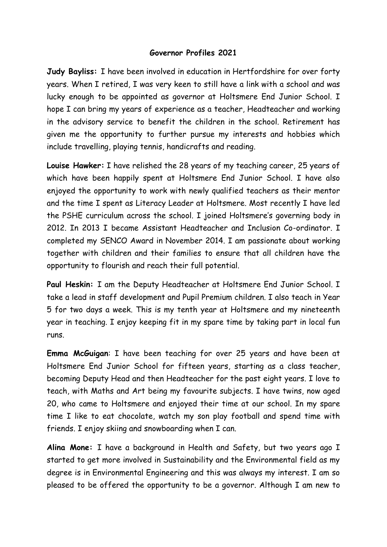## **Governor Profiles 2021**

**Judy Bayliss:** I have been involved in education in Hertfordshire for over forty years. When I retired, I was very keen to still have a link with a school and was lucky enough to be appointed as governor at Holtsmere End Junior School. I hope I can bring my years of experience as a teacher, Headteacher and working in the advisory service to benefit the children in the school. Retirement has given me the opportunity to further pursue my interests and hobbies which include travelling, playing tennis, handicrafts and reading.

**Louise Hawker:** I have relished the 28 years of my teaching career, 25 years of which have been happily spent at Holtsmere End Junior School. I have also enjoyed the opportunity to work with newly qualified teachers as their mentor and the time I spent as Literacy Leader at Holtsmere. Most recently I have led the PSHE curriculum across the school. I joined Holtsmere's governing body in 2012. In 2013 I became Assistant Headteacher and Inclusion Co-ordinator. I completed my SENCO Award in November 2014. I am passionate about working together with children and their families to ensure that all children have the opportunity to flourish and reach their full potential.

**Paul Heskin:** I am the Deputy Headteacher at Holtsmere End Junior School. I take a lead in staff development and Pupil Premium children. I also teach in Year 5 for two days a week. This is my tenth year at Holtsmere and my nineteenth year in teaching. I enjoy keeping fit in my spare time by taking part in local fun runs.

**Emma McGuigan**: I have been teaching for over 25 years and have been at Holtsmere End Junior School for fifteen years, starting as a class teacher, becoming Deputy Head and then Headteacher for the past eight years. I love to teach, with Maths and Art being my favourite subjects. I have twins, now aged 20, who came to Holtsmere and enjoyed their time at our school. In my spare time I like to eat chocolate, watch my son play football and spend time with friends. I enjoy skiing and snowboarding when I can.

**Alina Mone:** I have a background in Health and Safety, but two years ago I started to get more involved in Sustainability and the Environmental field as my degree is in Environmental Engineering and this was always my interest. I am so pleased to be offered the opportunity to be a governor. Although I am new to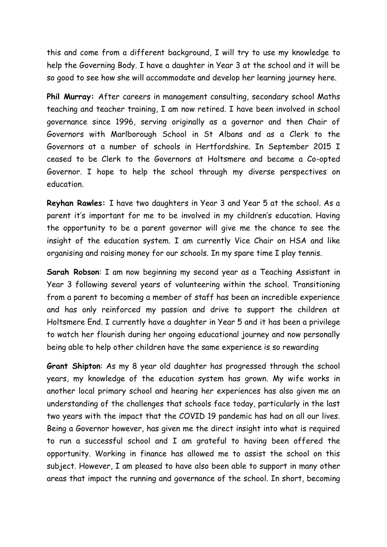this and come from a different background, I will try to use my knowledge to help the Governing Body. I have a daughter in Year 3 at the school and it will be so good to see how she will accommodate and develop her learning journey here.

**Phil Murray:** After careers in management consulting, secondary school Maths teaching and teacher training, I am now retired. I have been involved in school governance since 1996, serving originally as a governor and then Chair of Governors with Marlborough School in St Albans and as a Clerk to the Governors at a number of schools in Hertfordshire. In September 2015 I ceased to be Clerk to the Governors at Holtsmere and became a Co-opted Governor. I hope to help the school through my diverse perspectives on education.

**Reyhan Rawles:** I have two daughters in Year 3 and Year 5 at the school. As a parent it's important for me to be involved in my children's education. Having the opportunity to be a parent governor will give me the chance to see the insight of the education system. I am currently Vice Chair on HSA and like organising and raising money for our schools. In my spare time I play tennis.

**Sarah Robson**: I am now beginning my second year as a Teaching Assistant in Year 3 following several years of volunteering within the school. Transitioning from a parent to becoming a member of staff has been an incredible experience and has only reinforced my passion and drive to support the children at Holtsmere End. I currently have a daughter in Year 5 and it has been a privilege to watch her flourish during her ongoing educational journey and now personally being able to help other children have the same experience is so rewarding

**Grant Shipton**: As my 8 year old daughter has progressed through the school years, my knowledge of the education system has grown. My wife works in another local primary school and hearing her experiences has also given me an understanding of the challenges that schools face today, particularly in the last two years with the impact that the COVID 19 pandemic has had on all our lives. Being a Governor however, has given me the direct insight into what is required to run a successful school and I am grateful to having been offered the opportunity. Working in finance has allowed me to assist the school on this subject. However, I am pleased to have also been able to support in many other areas that impact the running and governance of the school. In short, becoming